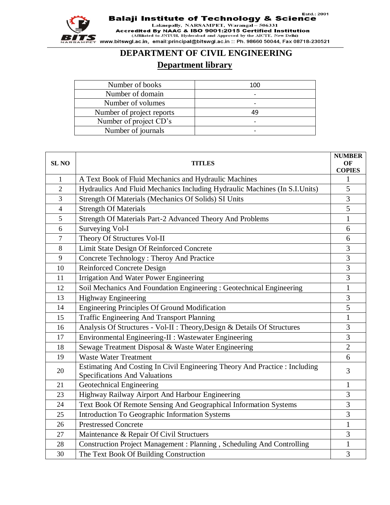

Estd.: 2001

**Balaji Institute of Technology & Science**<br>Laknepally, NARSAMPET, Warangal – 506331<br>Accredited By NAAC & ISO 9001:2015 Certified Institution<br>(Affiliated to JNTUH, Hyderabad and Approved by the AICTE, New Delhi) www.bitswgl.ac.in, email:principal@bitswgl.ac.in:: Ph. 98660 50044, Fax 08718-230521

## **DEPARTMENT OF CIVIL ENGINEERING**

## **Department library**

| Number of books           | 100 |
|---------------------------|-----|
| Number of domain          |     |
| Number of volumes         |     |
| Number of project reports | 49  |
| Number of project CD's    |     |
| Number of journals        |     |

| <b>SL NO</b>   | <b>TITLES</b>                                                                                                | <b>NUMBER</b><br>OF<br><b>COPIES</b> |
|----------------|--------------------------------------------------------------------------------------------------------------|--------------------------------------|
| $\mathbf{1}$   | A Text Book of Fluid Mechanics and Hydraulic Machines                                                        | 1                                    |
| $\overline{2}$ | Hydraulics And Fluid Mechanics Including Hydraulic Machines (In S.I.Units)                                   | 5                                    |
| 3              | Strength Of Materials (Mechanics Of Solids) SI Units                                                         | 3                                    |
| $\overline{4}$ | <b>Strength Of Materials</b>                                                                                 | 5                                    |
| 5              | Strength Of Materials Part-2 Advanced Theory And Problems                                                    | $\mathbf{1}$                         |
| 6              | Surveying Vol-I                                                                                              | 6                                    |
| 7              | Theory Of Structures Vol-II                                                                                  | 6                                    |
| 8              | Limit State Design Of Reinforced Concrete                                                                    | 3                                    |
| 9              | Concrete Technology : Theroy And Practice                                                                    | 3                                    |
| 10             | <b>Reinforced Concrete Design</b>                                                                            | $\mathfrak{Z}$                       |
| 11             | <b>Irrigation And Water Power Engineering</b>                                                                | 3                                    |
| 12             | Soil Mechanics And Foundation Engineering : Geotechnical Engineering                                         | $\mathbf{1}$                         |
| 13             | <b>Highway Engineering</b>                                                                                   | $\mathfrak{Z}$                       |
| 14             | <b>Engineering Principles Of Ground Modification</b>                                                         | 5                                    |
| 15             | Traffic Engineering And Transport Planning                                                                   | $\mathbf{1}$                         |
| 16             | Analysis Of Structures - Vol-II : Theory, Design & Details Of Structures                                     | 3                                    |
| 17             | Environmental Engineering-II : Wastewater Engineering                                                        | 3                                    |
| 18             | Sewage Treatment Disposal & Waste Water Engineering                                                          | $\overline{2}$                       |
| 19             | <b>Waste Water Treatment</b>                                                                                 | 6                                    |
| 20             | Estimating And Costing In Civil Engineering Theory And Practice : Including<br>Specifications And Valuations | 3                                    |
| 21             | Geotechnical Engineering                                                                                     | $\mathbf{1}$                         |
| 23             | Highway Railway Airport And Harbour Engineering                                                              | 3                                    |
| 24             | Text Book Of Remote Sensing And Geographical Information Systems                                             | 3                                    |
| 25             | Introduction To Geographic Information Systems                                                               | 3                                    |
| 26             | <b>Prestressed Concrete</b>                                                                                  | $\mathbf{1}$                         |
| 27             | Maintenance & Repair Of Civil Structuers                                                                     | 3                                    |
| 28             | Construction Project Management: Planning, Scheduling And Controlling                                        | $\mathbf{1}$                         |
| 30             | The Text Book Of Building Construction                                                                       | 3                                    |